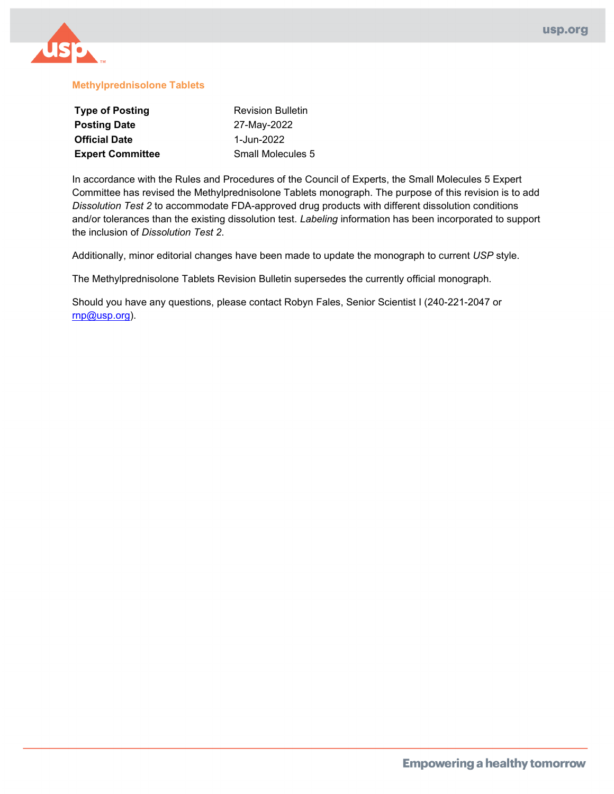

#### **Methylprednisolone Tablets**

| <b>Type of Posting</b>  | <b>Revision Bulletin</b> |
|-------------------------|--------------------------|
| <b>Posting Date</b>     | 27-May-2022              |
| <b>Official Date</b>    | 1-Jun-2022               |
| <b>Expert Committee</b> | Small Molecules 5        |

In accordance with the Rules and Procedures of the Council of Experts, the Small Molecules 5 Expert Committee has revised the Methylprednisolone Tablets monograph. The purpose of this revision is to add *Dissolution Test 2* to accommodate FDA-approved drug products with different dissolution conditions and/or tolerances than the existing dissolution test. *Labeling* information has been incorporated to support the inclusion of *Dissolution Test 2*.

Additionally, minor editorial changes have been made to update the monograph to current *USP* style.

The Methylprednisolone Tablets Revision Bulletin supersedes the currently official monograph.

Should you have any questions, please contact Robyn Fales, Senior Scientist I (240-221-2047 or [rnp@usp.org\)](mailto:rnp@usp.org).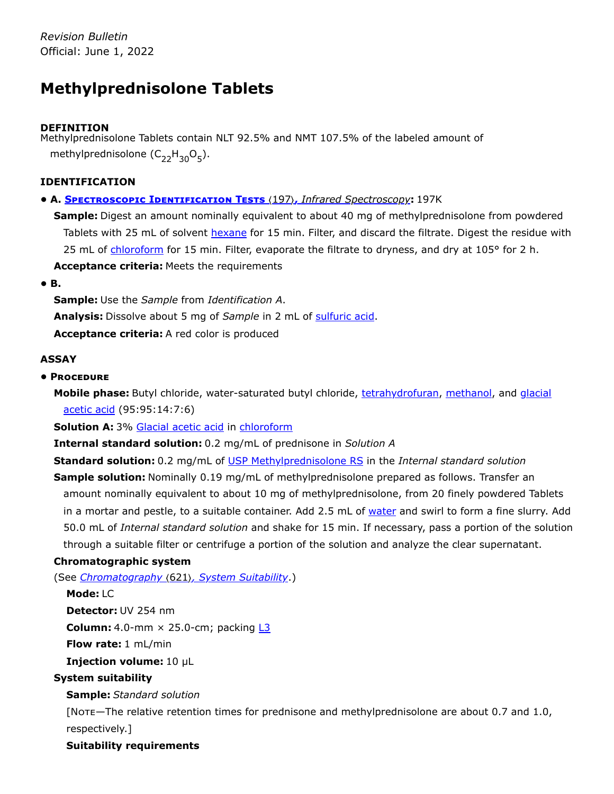# **Methylprednisolone Tablets**

# **DEFINITION**

Methylprednisolone Tablets contain NLT 92.5% and NMT 107.5% of the labeled amount of methylprednisolone  $(\mathsf{C}_{22} \mathsf{H}_{30} \mathsf{O}_5).$ 

# **IDENTIFICATION**

# **• A. Spectroscopic Identification Tests** 〈197〉**,** *Infrared Spectroscopy***:** 197K

**Sample:** Digest an amount nominally equivalent to about 40 mg of methylprednisolone from powdered Tablets with 25 mL of solvent hexane for 15 min. Filter, and discard the filtrate. Digest the residue with 25 mL of chloroform for 15 min. Filter, evaporate the filtrate to dryness, and dry at 105° for 2 h. **Acceptance criteria:** Meets the requirements

**• B.**

**Sample:** Use the *Sample* from *Identification A*. **Analysis:** Dissolve about 5 mg of *Sample* in 2 mL of sulfuric acid. **Acceptance criteria:** A red color is produced

# **ASSAY**

# **• Procedure**

**Mobile phase:** Butyl chloride, water-saturated butyl chloride, tetrahydrofuran, methanol, and glacial acetic acid (95:95:14:7:6)

**Solution A:** 3% Glacial acetic acid in chloroform

**Internal standard solution:** 0.2 mg/mL of prednisone in *Solution A*

**Standard solution:** 0.2 mg/mL of USP [Methylprednisolone RS](https://store.usp.org/searchresults?Ntt=1435003&searchType=simple&type=search) in the *Internal standard solution*

**Sample solution:** Nominally 0.19 mg/mL of methylprednisolone prepared as follows. Transfer an amount nominally equivalent to about 10 mg of methylprednisolone, from 20 finely powdered Tablets in a mortar and pestle, to a suitable container. Add 2.5 mL of water and swirl to form a fine slurry. Add 50.0 mL of *Internal standard solution* and shake for 15 min. If necessary, pass a portion of the solution through a suitable filter or centrifuge a portion of the solution and analyze the clear supernatant.

# **Chromatographic system**

(See *Chromatography* 〈621〉*, System Suitability*.)

## **Mode:** LC

**Detector:** UV 254 nm

**Column:** 4.0-mm × 25.0-cm; packing **L3** 

**Flow rate:** 1 mL/min

**Injection volume:** 10 µL

# **System suitability**

# **Sample:** *Standard solution*

[Note—The relative retention times for prednisone and methylprednisolone are about 0.7 and 1.0, respectively.]

## **Suitability requirements**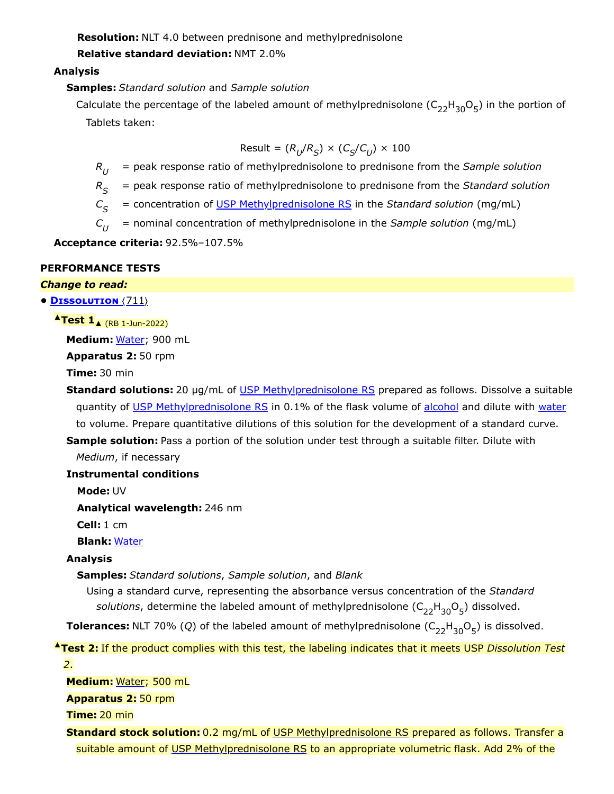**Resolution:** NLT 4.0 between prednisone and methylprednisolone

**Relative standard deviation:** NMT 2.0%

# **Analysis**

**Samples:** *Standard solution* and *Sample solution*

Calculate the percentage of the labeled amount of methylprednisolone  $(\mathsf{C}_{22}\mathsf{H}_{30}\mathsf{O}_5)$  in the portion of Tablets taken:

$$
Result = (R_U/R_S) \times (C_S/C_U) \times 100
$$

 $R_U$  = peak response ratio of methylprednisolone to prednisone from the *Sample solution* 

*R* = peak response ratio of methylprednisolone to prednisone from the *Standard solution S*

*C* = concentration of USP [Methylprednisolone RS](https://store.usp.org/searchresults?Ntt=1435003&searchType=simple&type=search) in the *Standard solution* (mg/mL)  $C_{\rm c}$ 

*C* = nominal concentration of methylprednisolone in the *Sample solution* (mg/mL)  $C_{II}$ 

**Acceptance criteria:** 92.5%–107.5%

## **PERFORMANCE TESTS**

#### *Change to read:*

**• Dissolution** 〈711〉

**▲Test 1**▲ (RB 1-Jun-2022)

**Medium:** Water; 900 mL

**Apparatus 2:** 50 rpm

**Time:** 30 min

**Standard solutions:** 20 µg/mL of USP [Methylprednisolone RS](https://store.usp.org/searchresults?Ntt=1435003&searchType=simple&type=search) prepared as follows. Dissolve a suitable quantity of USP [Methylprednisolone RS](https://store.usp.org/searchresults?Ntt=1435003&searchType=simple&type=search) in 0.1% of the flask volume of alcohol and dilute with water to volume. Prepare quantitative dilutions of this solution for the development of a standard curve.

**Sample solution:** Pass a portion of the solution under test through a suitable filter. Dilute with *Medium*, if necessary

## **Instrumental conditions**

**Mode:** UV

**Analytical wavelength:** 246 nm

**Cell:** 1 cm

**Blank:** Water

### **Analysis**

**Samples:** *Standard solutions*, *Sample solution*, and *Blank*

Using a standard curve, representing the absorbance versus concentration of the *Standard* s*olutions*, determine the labeled amount of methylprednisolone (C<sub>22</sub>H<sub>30</sub>O<sub>5</sub>) dissolved.

**Tolerances:** NLT 70% (Q) of the labeled amount of methylprednisolone  $(C_{22}H_{30}O_5)$  is dissolved.

**▲Test 2:** If the product complies with this test, the labeling indicates that it meets USP *Dissolution Test 2*.

**Medium:** Water; 500 mL

**Apparatus 2:** 50 rpm

**Time:** 20 min

**Standard stock solution:** 0.2 mg/mL of USP [Methylprednisolone RS](https://store.usp.org/searchresults?Ntt=1435003&searchType=simple&type=search) prepared as follows. Transfer a suitable amount of USP [Methylprednisolone RS](https://store.usp.org/searchresults?Ntt=1435003&searchType=simple&type=search) to an appropriate volumetric flask. Add 2% of the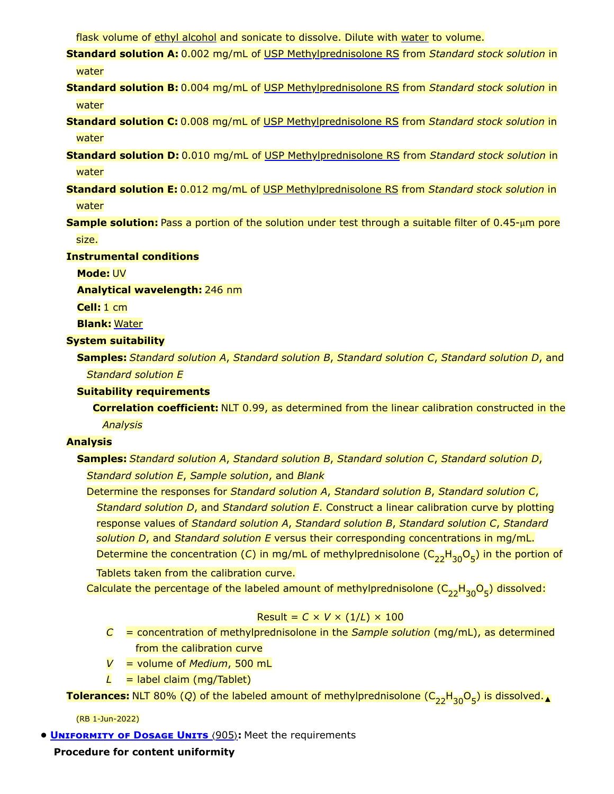flask volume of ethyl alcohol and sonicate to dissolve. Dilute with water to volume.

- **Standard solution A:** 0.002 mg/mL of USP [Methylprednisolone RS](https://store.usp.org/searchresults?Ntt=1435003&searchType=simple&type=search) from *Standard stock solution* in water
- **Standard solution B:** 0.004 mg/mL of USP [Methylprednisolone RS](https://store.usp.org/searchresults?Ntt=1435003&searchType=simple&type=search) from *Standard stock solution* in water
- **Standard solution C:** 0.008 mg/mL of USP [Methylprednisolone RS](https://store.usp.org/searchresults?Ntt=1435003&searchType=simple&type=search) from *Standard stock solution* in water
- **Standard solution D:** 0.010 mg/mL of USP [Methylprednisolone RS](https://store.usp.org/searchresults?Ntt=1435003&searchType=simple&type=search) from *Standard stock solution* in water
- **Standard solution E:** 0.012 mg/mL of USP [Methylprednisolone RS](https://store.usp.org/searchresults?Ntt=1435003&searchType=simple&type=search) from *Standard stock solution* in water
- **Sample solution:** Pass a portion of the solution under test through a suitable filter of 0.45-μm pore size.

**Instrumental conditions**

**Mode:** UV

**Analytical wavelength:** 246 nm

**Cell:** 1 cm

**Blank:** Water

## **System suitability**

**Samples:** *Standard solution A*, *Standard solution B*, *Standard solution C*, *Standard solution D*, and *Standard solution E*

## **Suitability requirements**

**Correlation coefficient:** NLT 0.99, as determined from the linear calibration constructed in the *Analysis*

#### **Analysis**

**Samples:** *Standard solution A*, *Standard solution B*, *Standard solution C*, *Standard solution D*, *Standard solution E*, *Sample solution*, and *Blank*

Determine the responses for *Standard solution A*, *Standard solution B*, *Standard solution C*, *Standard solution D*, and *Standard solution E*. Construct a linear calibration curve by plotting response values of *Standard solution A*, *Standard solution B*, *Standard solution C*, *Standard solution D*, and *Standard solution E* versus their corresponding concentrations in mg/mL. Determine the concentration (*C*) in mg/mL of methylprednisolone ( $\mathsf{C}_{22}\mathsf{H}_{30}\mathsf{O}_{5}$ ) in the portion of

Tablets taken from the calibration curve.

Calculate the percentage of the labeled amount of methylprednisolone ( $\mathsf{C}_{22}\mathsf{H}_{30} \mathsf{O}_5$ ) dissolved:

## Result =  $C \times V \times (1/L) \times 100$

- *C* = concentration of methylprednisolone in the *Sample solution* (mg/mL), as determined from the calibration curve
- *V* = volume of *Medium*, 500 mL
- $L =$  label claim (mg/Tablet)

**Tolerances:** NLT 80% (Q) of the labeled amount of methylprednisolone ( $\textsf{C}_{22} \textsf{H}_{30} \textsf{O}_5$ ) is dissolved.<sub>▲</sub>

(RB 1-Jun-2022)

**• UNIFORMITY OF DOSAGE UNITS** (905): Meet the requirements

**Procedure for content uniformity**